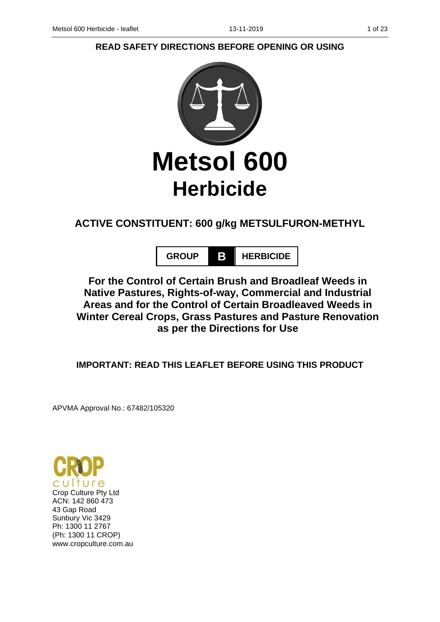# **READ SAFETY DIRECTIONS BEFORE OPENING OR USING**



# **ACTIVE CONSTITUENT: 600 g/kg METSULFURON-METHYL**

**GROUP B HERBICIDE**

**For the Control of Certain Brush and Broadleaf Weeds in Native Pastures, Rights-of-way, Commercial and Industrial Areas and for the Control of Certain Broadleaved Weeds in Winter Cereal Crops, Grass Pastures and Pasture Renovation as per the Directions for Use**

**IMPORTANT: READ THIS LEAFLET BEFORE USING THIS PRODUCT**

APVMA Approval No.: 67482/105320

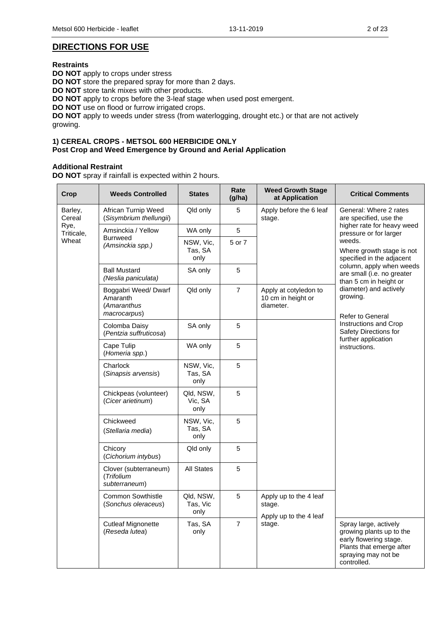## **DIRECTIONS FOR USE**

#### **Restraints**

**DO NOT** apply to crops under stress **DO NOT** store the prepared spray for more than 2 days. **DO NOT** store tank mixes with other products. **DO NOT** apply to crops before the 3-leaf stage when used post emergent. **DO NOT** use on flood or furrow irrigated crops. **DO NOT** apply to weeds under stress (from waterlogging, drought etc.) or that are not actively growing.

#### **1) CEREAL CROPS - METSOL 600 HERBICIDE ONLY Post Crop and Weed Emergence by Ground and Aerial Application**

### **Additional Restraint**

**DO NOT** spray if rainfall is expected within 2 hours.

| <b>Crop</b>        | <b>Weeds Controlled</b>                                        | <b>States</b>                 | Rate<br>(g/ha) | <b>Weed Growth Stage</b><br>at Application               | <b>Critical Comments</b>                                                                                                                      |
|--------------------|----------------------------------------------------------------|-------------------------------|----------------|----------------------------------------------------------|-----------------------------------------------------------------------------------------------------------------------------------------------|
| Barley,<br>Cereal  | African Turnip Weed<br>(Sisymbrium thellungii)                 | Qld only                      | 5              | Apply before the 6 leaf<br>stage.                        | General: Where 2 rates<br>are specified, use the                                                                                              |
| Rye,<br>Triticale, | Amsinckia / Yellow                                             | WA only                       | 5              |                                                          | higher rate for heavy weed<br>pressure or for larger                                                                                          |
| Wheat              | <b>Burrweed</b><br>(Amsinckia spp.)                            | NSW, Vic,<br>Tas, SA<br>only  | 5 or 7         |                                                          | weeds.<br>Where growth stage is not<br>specified in the adjacent                                                                              |
|                    | <b>Ball Mustard</b><br>(Neslia paniculata)                     | SA only                       | 5              |                                                          | column, apply when weeds<br>are small (i.e. no greater<br>than 5 cm in height or                                                              |
|                    | Boggabri Weed/Dwarf<br>Amaranth<br>(Amaranthus<br>macrocarpus) | Qld only                      | $\overline{7}$ | Apply at cotyledon to<br>10 cm in height or<br>diameter. | diameter) and actively<br>growing.<br>Refer to General                                                                                        |
|                    | Colomba Daisy<br>(Pentzia suffruticosa)                        | SA only                       | 5              |                                                          | Instructions and Crop<br>Safety Directions for<br>further application                                                                         |
|                    | Cape Tulip<br>(Homeria spp.)                                   | WA only                       | 5              |                                                          | instructions.                                                                                                                                 |
|                    | Charlock<br>(Sinapsis arvensis)                                | NSW, Vic,<br>Tas, SA<br>only  | 5              |                                                          |                                                                                                                                               |
|                    | Chickpeas (volunteer)<br>(Cicer arietinum)                     | Qld, NSW,<br>Vic, SA<br>only  | 5              |                                                          |                                                                                                                                               |
|                    | Chickweed<br>(Stellaria media)                                 | NSW, Vic,<br>Tas, SA<br>only  | 5              |                                                          |                                                                                                                                               |
|                    | Chicory<br>(Cichorium intybus)                                 | Qld only                      | 5              |                                                          |                                                                                                                                               |
|                    | Clover (subterraneum)<br>(Trifolium<br>subterraneum)           | <b>All States</b>             | $\overline{5}$ |                                                          |                                                                                                                                               |
|                    | <b>Common Sowthistle</b><br>(Sonchus oleraceus)                | Qld, NSW,<br>Tas, Vic<br>only | 5              | Apply up to the 4 leaf<br>stage.                         | Spray large, actively<br>growing plants up to the<br>early flowering stage.<br>Plants that emerge after<br>spraying may not be<br>controlled. |
|                    | <b>Cutleaf Mignonette</b><br>(Reseda lutea)                    | Tas, SA<br>only               | $\overline{7}$ | Apply up to the 4 leaf<br>stage.                         |                                                                                                                                               |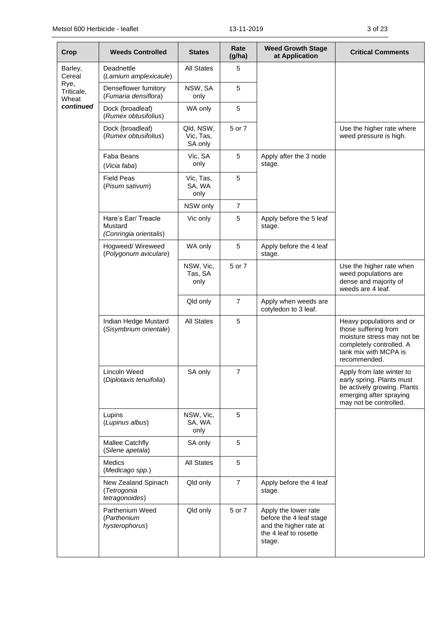| Crop                        | <b>Weeds Controlled</b>                                  | <b>States</b>                     | Rate<br>(g/ha) | <b>Weed Growth Stage</b><br>at Application                                                                   | <b>Critical Comments</b>                                                                                                                            |
|-----------------------------|----------------------------------------------------------|-----------------------------------|----------------|--------------------------------------------------------------------------------------------------------------|-----------------------------------------------------------------------------------------------------------------------------------------------------|
| Barley,<br>Cereal           | Deadnettle<br>(Lamium amplexicaule)                      | <b>All States</b>                 | 5              |                                                                                                              |                                                                                                                                                     |
| Rye,<br>Triticale,<br>Wheat | Denseflower fumitory<br>(Fumaria densiflora)             | NSW, SA<br>only                   | 5              |                                                                                                              |                                                                                                                                                     |
| continued                   | Dock (broadleaf)<br>(Rumex obtusifolius)                 | WA only                           | 5              |                                                                                                              |                                                                                                                                                     |
|                             | Dock (broadleaf)<br>(Rumex obtusifolius)                 | Qld, NSW,<br>Vic, Tas,<br>SA only | 5 or 7         |                                                                                                              | Use the higher rate where<br>weed pressure is high.                                                                                                 |
|                             | Faba Beans<br>(Vicia faba)                               | Vic, SA<br>only                   | 5              | Apply after the 3 node<br>stage.                                                                             |                                                                                                                                                     |
|                             | <b>Field Peas</b><br>(Pisum sativum)                     | Vic, Tas,<br>SA, WA<br>only       | 5              |                                                                                                              |                                                                                                                                                     |
|                             |                                                          | NSW only                          | 7              |                                                                                                              |                                                                                                                                                     |
|                             | Hare's Ear/ Treacle<br>Mustard<br>(Conringia orientalis) | Vic only                          | 5              | Apply before the 5 leaf<br>stage.                                                                            |                                                                                                                                                     |
|                             | Hogweed/Wireweed<br>(Polygonum aviculare)                | WA only                           | 5              | Apply before the 4 leaf<br>stage.                                                                            |                                                                                                                                                     |
|                             |                                                          | NSW, Vic,<br>Tas, SA<br>only      | 5 or 7         |                                                                                                              | Use the higher rate when<br>weed populations are<br>dense and majority of<br>weeds are 4 leaf.                                                      |
|                             |                                                          | Qld only                          | $\overline{7}$ | Apply when weeds are<br>cotyledon to 3 leaf.                                                                 |                                                                                                                                                     |
|                             | Indian Hedge Mustard<br>(Sisymbrium orientale)           | <b>All States</b>                 | 5              |                                                                                                              | Heavy populations and or<br>those suffering from<br>moisture stress may not be<br>completely controlled. A<br>tank mix with MCPA is<br>recommended. |
|                             | Lincoln Weed<br>(Diplotaxis tenuifolia)                  | SA only                           | $\overline{7}$ |                                                                                                              | Apply from late winter to<br>early spring. Plants must<br>be actively growing. Plants<br>emerging after spraying<br>may not be controlled.          |
|                             | Lupins<br>(Lupinus albus)                                | NSW, Vic,<br>SA, WA<br>only       | 5              |                                                                                                              |                                                                                                                                                     |
|                             | Mallee Catchfly<br>(Silene apetala)                      | SA only                           | 5              |                                                                                                              |                                                                                                                                                     |
|                             | <b>Medics</b><br>(Medicago spp.)                         | <b>All States</b>                 | 5              |                                                                                                              |                                                                                                                                                     |
|                             | New Zealand Spinach<br>(Tetrogonia<br>tetragonoides)     | Qld only                          | $\overline{7}$ | Apply before the 4 leaf<br>stage.                                                                            |                                                                                                                                                     |
|                             | Parthenium Weed<br>(Parthenium<br>hysterophorus)         | Qld only                          | 5 or 7         | Apply the lower rate<br>before the 4 leaf stage<br>and the higher rate at<br>the 4 leaf to rosette<br>stage. |                                                                                                                                                     |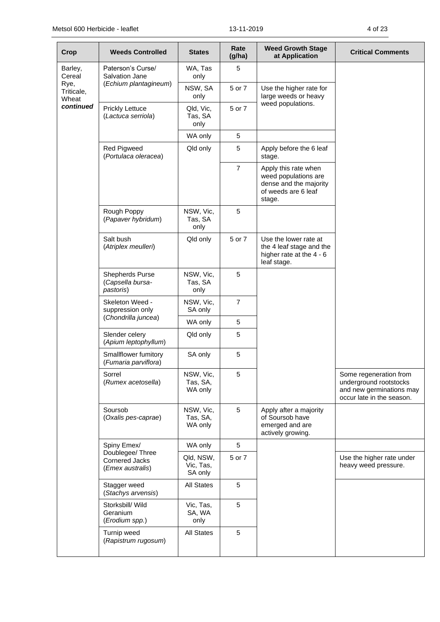| Crop                                             | <b>Weeds Controlled</b>                                       | <b>States</b>                     | Rate<br>(g/ha) | <b>Weed Growth Stage</b><br>at Application                                                              | <b>Critical Comments</b>                                                                                  |
|--------------------------------------------------|---------------------------------------------------------------|-----------------------------------|----------------|---------------------------------------------------------------------------------------------------------|-----------------------------------------------------------------------------------------------------------|
| Barley,<br>Cereal<br>Rye,<br>Triticale,<br>Wheat | Paterson's Curse/<br>Salvation Jane                           | WA, Tas<br>only                   | 5              |                                                                                                         |                                                                                                           |
|                                                  | (Echium plantagineum)                                         | NSW, SA<br>only                   | 5 or 7         | Use the higher rate for<br>large weeds or heavy                                                         |                                                                                                           |
| continued                                        | <b>Prickly Lettuce</b><br>(Lactuca serriola)                  | Qld, Vic,<br>Tas, SA<br>only      | 5 or 7         | weed populations.                                                                                       |                                                                                                           |
|                                                  |                                                               | WA only                           | 5              |                                                                                                         |                                                                                                           |
|                                                  | <b>Red Pigweed</b><br>(Portulaca oleracea)                    | Qld only                          | 5              | Apply before the 6 leaf<br>stage.                                                                       |                                                                                                           |
|                                                  |                                                               |                                   | $\overline{7}$ | Apply this rate when<br>weed populations are<br>dense and the majority<br>of weeds are 6 leaf<br>stage. |                                                                                                           |
|                                                  | Rough Poppy<br>(Papaver hybridum)                             | NSW, Vic,<br>Tas, SA<br>only      | 5              |                                                                                                         |                                                                                                           |
|                                                  | Salt bush<br>(Atriplex meulleri)                              | Qld only                          | 5 or 7         | Use the lower rate at<br>the 4 leaf stage and the<br>higher rate at the 4 - 6<br>leaf stage.            |                                                                                                           |
|                                                  | <b>Shepherds Purse</b><br>(Capsella bursa-<br>pastoris)       | NSW, Vic,<br>Tas, SA<br>only      | 5              |                                                                                                         |                                                                                                           |
|                                                  | Skeleton Weed -<br>suppression only<br>(Chondrilla juncea)    | NSW, Vic,<br>SA only              | $\overline{7}$ |                                                                                                         |                                                                                                           |
|                                                  |                                                               | WA only                           | 5              |                                                                                                         |                                                                                                           |
|                                                  | Slender celery<br>(Apium leptophyllum)                        | Qld only                          | 5              |                                                                                                         |                                                                                                           |
|                                                  | Smallflower fumitory<br>(Fumaria parviflora)                  | SA only                           | 5              |                                                                                                         |                                                                                                           |
|                                                  | Sorrel<br>(Rumex acetosella)                                  | NSW, Vic,<br>Tas, SA,<br>WA only  | 5              |                                                                                                         | Some regeneration from<br>underground rootstocks<br>and new germinations may<br>occur late in the season. |
|                                                  | Soursob<br>(Oxalis pes-caprae)                                | NSW, Vic,<br>Tas, SA,<br>WA only  | 5              | Apply after a majority<br>of Soursob have<br>emerged and are<br>actively growing.                       |                                                                                                           |
|                                                  | Spiny Emex/                                                   | WA only                           | 5              |                                                                                                         |                                                                                                           |
|                                                  | Doublegee/ Three<br><b>Cornered Jacks</b><br>(Emex australis) | Qld, NSW,<br>Vic, Tas,<br>SA only | 5 or 7         |                                                                                                         | Use the higher rate under<br>heavy weed pressure.                                                         |
|                                                  | Stagger weed<br>(Stachys arvensis)                            | All States                        | 5              |                                                                                                         |                                                                                                           |
|                                                  | Storksbill/ Wild<br>Geranium<br>(Erodium spp.)                | Vic, Tas,<br>SA, WA<br>only       | $\sqrt{5}$     |                                                                                                         |                                                                                                           |
|                                                  | Turnip weed<br>(Rapistrum rugosum)                            | All States                        | 5              |                                                                                                         |                                                                                                           |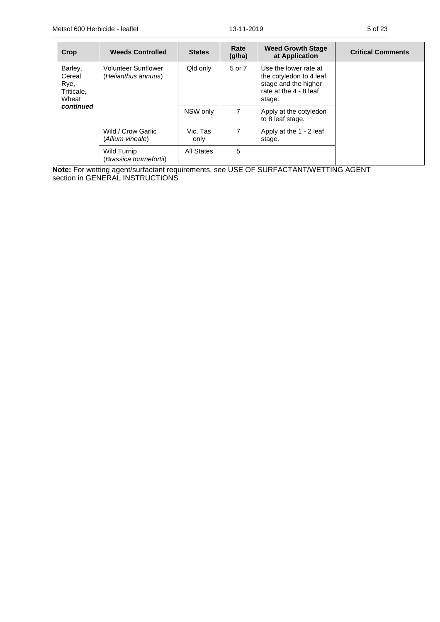| Crop                                             | <b>Weeds Controlled</b>                           | <b>States</b>    | Rate<br>(g/ha) | <b>Weed Growth Stage</b><br>at Application                                                                   | <b>Critical Comments</b> |
|--------------------------------------------------|---------------------------------------------------|------------------|----------------|--------------------------------------------------------------------------------------------------------------|--------------------------|
| Barley,<br>Cereal<br>Rye,<br>Triticale,<br>Wheat | <b>Volunteer Sunflower</b><br>(Helianthus annuus) | Qld only         | 5 or 7         | Use the lower rate at<br>the cotyledon to 4 leaf<br>stage and the higher<br>rate at the 4 - 8 leaf<br>stage. |                          |
| continued                                        |                                                   | NSW only         | $\overline{7}$ | Apply at the cotyledon<br>to 8 leaf stage.                                                                   |                          |
|                                                  | Wild / Crow Garlic<br>(Allium vineale)            | Vic. Tas<br>only | $\overline{7}$ | Apply at the 1 - 2 leaf<br>stage.                                                                            |                          |
|                                                  | Wild Turnip<br>(Brassica tournefortii)            | All States       | 5              |                                                                                                              |                          |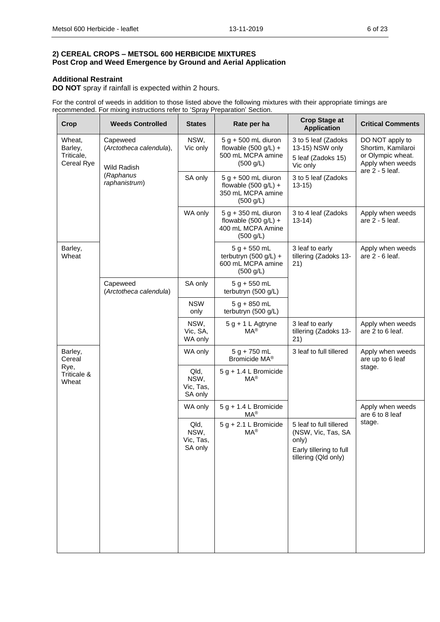#### **2) CEREAL CROPS – METSOL 600 HERBICIDE MIXTURES Post Crop and Weed Emergence by Ground and Aerial Application**

### **Additional Restraint**

**DO NOT** spray if rainfall is expected within 2 hours.

For the control of weeds in addition to those listed above the following mixtures with their appropriate timings are recommended. For mixing instructions refer to 'Spray Preparation' Section.

| <b>Crop</b>                                   | <b>Weeds Controlled</b>                            | <b>States</b>                        | Rate per ha                                                                       | <b>Crop Stage at</b><br><b>Application</b>                                                                | <b>Critical Comments</b>                                                                          |
|-----------------------------------------------|----------------------------------------------------|--------------------------------------|-----------------------------------------------------------------------------------|-----------------------------------------------------------------------------------------------------------|---------------------------------------------------------------------------------------------------|
| Wheat,<br>Barley,<br>Triticale,<br>Cereal Rye | Capeweed<br>(Arctotheca calendula),<br>Wild Radish | NSW,<br>Vic only                     | 5 g + 500 mL diuron<br>flowable $(500 g/L) +$<br>500 mL MCPA amine<br>(500 g/L)   | 3 to 5 leaf (Zadoks<br>13-15) NSW only<br>5 leaf (Zadoks 15)<br>Vic only                                  | DO NOT apply to<br>Shortim, Kamilaroi<br>or Olympic wheat.<br>Apply when weeds<br>are 2 - 5 leaf. |
|                                               | (Raphanus<br>raphanistrum)                         | SA only                              | 5 g + 500 mL diuron<br>flowable $(500 g/L) +$<br>350 mL MCPA amine<br>(500 g/L)   | 3 to 5 leaf (Zadoks<br>$13-15$                                                                            |                                                                                                   |
|                                               |                                                    | WA only                              | $5 g + 350$ mL diuron<br>flowable $(500 g/L) +$<br>400 mL MCPA Amine<br>(500 g/L) | 3 to 4 leaf (Zadoks<br>$13-14)$                                                                           | Apply when weeds<br>are 2 - 5 leaf.                                                               |
| Barley,<br>Wheat                              |                                                    |                                      | $5 g + 550 mL$<br>terbutryn (500 g/L) +<br>600 mL MCPA amine<br>(500 g/L)         | 3 leaf to early<br>tillering (Zadoks 13-<br>21)                                                           | Apply when weeds<br>are 2 - 6 leaf.                                                               |
|                                               | Capeweed<br>(Arctotheca calendula)                 | SA only                              | $5 g + 550 mL$<br>terbutryn (500 g/L)                                             |                                                                                                           |                                                                                                   |
|                                               |                                                    | <b>NSW</b><br>only                   | $5 g + 850 mL$<br>terbutryn (500 g/L)                                             |                                                                                                           |                                                                                                   |
|                                               |                                                    | NSW,<br>Vic, SA,<br>WA only          | $5 g + 1 L$ Agtryne<br>$MA^{\circledR}$                                           | 3 leaf to early<br>tillering (Zadoks 13-<br>21)                                                           | Apply when weeds<br>are 2 to 6 leaf.                                                              |
| Barley,<br>Cereal                             |                                                    | WA only                              | $5 g + 750 mL$<br>Bromicide MA®                                                   | 3 leaf to full tillered                                                                                   | Apply when weeds<br>are up to 6 leaf                                                              |
| Rye,<br>Triticale &<br>Wheat                  |                                                    | Qld,<br>NSW,<br>Vic, Tas,<br>SA only | $5 g + 1.4 L$ Bromicide<br>$MA^{\circledR}$                                       |                                                                                                           | stage.                                                                                            |
|                                               |                                                    | WA only                              | $5 g + 1.4 L$ Bromicide<br>$MA^®$                                                 |                                                                                                           | Apply when weeds<br>are 6 to 8 leaf                                                               |
|                                               |                                                    | Qld,<br>NSW,<br>Vic, Tas,<br>SA only | $5 g + 2.1 L$ Bromicide<br>$MA^®$                                                 | 5 leaf to full tillered<br>(NSW, Vic, Tas, SA<br>only)<br>Early tillering to full<br>tillering (Qld only) | stage.                                                                                            |
|                                               |                                                    |                                      |                                                                                   |                                                                                                           |                                                                                                   |
|                                               |                                                    |                                      |                                                                                   |                                                                                                           |                                                                                                   |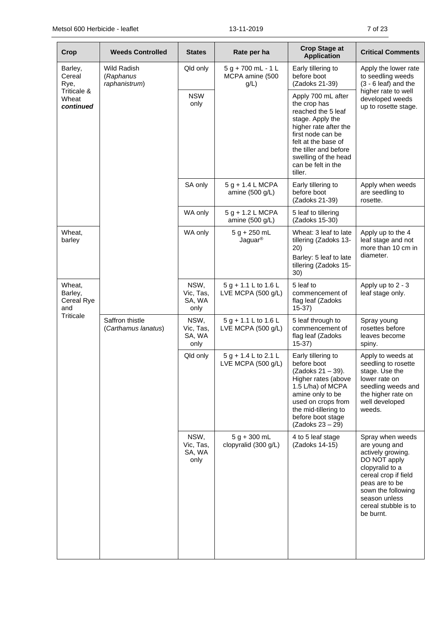| Crop                                   | <b>Weeds Controlled</b>                   | <b>States</b>                       | Rate per ha                                     | <b>Crop Stage at</b><br><b>Application</b>                                                                                                                                                                                          | <b>Critical Comments</b>                                                                                                                                                                                        |
|----------------------------------------|-------------------------------------------|-------------------------------------|-------------------------------------------------|-------------------------------------------------------------------------------------------------------------------------------------------------------------------------------------------------------------------------------------|-----------------------------------------------------------------------------------------------------------------------------------------------------------------------------------------------------------------|
| Barley,<br>Cereal<br>Rye,              | Wild Radish<br>(Raphanus<br>raphanistrum) | Qld only                            | $5 g + 700 mL - 1 L$<br>MCPA amine (500<br>g/L) | Early tillering to<br>before boot<br>(Zadoks 21-39)                                                                                                                                                                                 | Apply the lower rate<br>to seedling weeds<br>$(3 - 6$ leaf) and the                                                                                                                                             |
| Triticale &<br>Wheat<br>continued      |                                           | <b>NSW</b><br>only                  |                                                 | Apply 700 mL after<br>the crop has<br>reached the 5 leaf<br>stage. Apply the<br>higher rate after the<br>first node can be<br>felt at the base of<br>the tiller and before<br>swelling of the head<br>can be felt in the<br>tiller. | higher rate to well<br>developed weeds<br>up to rosette stage.                                                                                                                                                  |
|                                        |                                           | SA only                             | 5 g + 1.4 L MCPA<br>amine $(500 g/L)$           | Early tillering to<br>before boot<br>(Zadoks 21-39)                                                                                                                                                                                 | Apply when weeds<br>are seedling to<br>rosette.                                                                                                                                                                 |
|                                        |                                           | WA only                             | $5 g + 1.2 L MCPA$<br>amine $(500 g/L)$         | 5 leaf to tillering<br>(Zadoks 15-30)                                                                                                                                                                                               |                                                                                                                                                                                                                 |
| Wheat,<br>barley                       |                                           | WA only                             | $5 g + 250 mL$<br>Jaguar <sup>®</sup>           | Wheat: 3 leaf to late<br>tillering (Zadoks 13-<br>20)<br>Barley: 5 leaf to late<br>tillering (Zadoks 15-<br>30)                                                                                                                     | Apply up to the 4<br>leaf stage and not<br>more than 10 cm in<br>diameter.                                                                                                                                      |
| Wheat,<br>Barley,<br>Cereal Rye<br>and |                                           | NSW,<br>Vic, Tas,<br>SA, WA<br>only | $5 g + 1.1 L$ to 1.6 L<br>LVE MCPA (500 g/L)    | 5 leaf to<br>commencement of<br>flag leaf (Zadoks<br>$15-37)$                                                                                                                                                                       | Apply up to 2 - 3<br>leaf stage only.                                                                                                                                                                           |
| Triticale                              | Saffron thistle<br>(Carthamus lanatus)    | NSW,<br>Vic, Tas,<br>SA, WA<br>only | $5 g + 1.1 L$ to 1.6 L<br>LVE MCPA (500 g/L)    | 5 leaf through to<br>commencement of<br>flag leaf (Zadoks<br>$15-37$                                                                                                                                                                | Spray young<br>rosettes before<br>leaves become<br>spiny.                                                                                                                                                       |
|                                        |                                           | Qld only                            | $5 g + 1.4 L$ to 2.1 L<br>LVE MCPA (500 g/L)    | Early tillering to<br>before boot<br>(Zadoks 21 – 39).<br>Higher rates (above<br>1.5 L/ha) of MCPA<br>amine only to be<br>used on crops from<br>the mid-tillering to<br>before boot stage<br>(Zadoks 23 - 29)                       | Apply to weeds at<br>seedling to rosette<br>stage. Use the<br>lower rate on<br>seedling weeds and<br>the higher rate on<br>well developed<br>weeds.                                                             |
|                                        |                                           | NSW,<br>Vic, Tas,<br>SA, WA<br>only | $5 g + 300 mL$<br>clopyralid (300 g/L)          | 4 to 5 leaf stage<br>(Zadoks 14-15)                                                                                                                                                                                                 | Spray when weeds<br>are young and<br>actively growing.<br>DO NOT apply<br>clopyralid to a<br>cereal crop if field<br>peas are to be<br>sown the following<br>season unless<br>cereal stubble is to<br>be burnt. |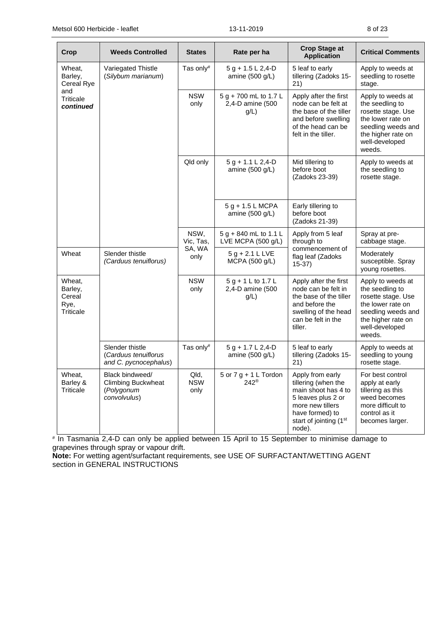| Crop                                                    | <b>Weeds Controlled</b>                                                    | <b>States</b>              | Rate per ha                                       | <b>Crop Stage at</b><br><b>Application</b>                                                                                                                      | <b>Critical Comments</b>                                                                                                                                |
|---------------------------------------------------------|----------------------------------------------------------------------------|----------------------------|---------------------------------------------------|-----------------------------------------------------------------------------------------------------------------------------------------------------------------|---------------------------------------------------------------------------------------------------------------------------------------------------------|
| Wheat,<br>Barley,<br>Cereal Rye                         | Variegated Thistle<br>(Silybum marianum)                                   | Tas only#                  | $5 g + 1.5 L 2, 4-D$<br>amine (500 g/L)           | 5 leaf to early<br>tillering (Zadoks 15-<br>21)                                                                                                                 | Apply to weeds at<br>seedling to rosette<br>stage.                                                                                                      |
| and<br><b>Triticale</b><br>continued                    |                                                                            | <b>NSW</b><br>only         | 5 g + 700 mL to 1.7 L<br>2,4-D amine (500<br>g/L) | Apply after the first<br>node can be felt at<br>the base of the tiller<br>and before swelling<br>of the head can be<br>felt in the tiller.                      | Apply to weeds at<br>the seedling to<br>rosette stage. Use<br>the lower rate on<br>seedling weeds and<br>the higher rate on<br>well-developed<br>weeds. |
|                                                         |                                                                            | Qld only                   | $5 g + 1.1 L 2, 4-D$<br>amine (500 g/L)           | Mid tillering to<br>before boot<br>(Zadoks 23-39)                                                                                                               | Apply to weeds at<br>the seedling to<br>rosette stage.                                                                                                  |
|                                                         |                                                                            |                            | $5 g + 1.5 L MCPA$<br>amine (500 g/L)             | Early tillering to<br>before boot<br>(Zadoks 21-39)                                                                                                             |                                                                                                                                                         |
|                                                         |                                                                            | NSW,<br>Vic, Tas,          | 5 g + 840 mL to 1.1 L<br>LVE MCPA (500 g/L)       | Apply from 5 leaf<br>through to                                                                                                                                 | Spray at pre-<br>cabbage stage.                                                                                                                         |
| Wheat                                                   | Slender thistle<br>(Carduus tenuiflorus)                                   | SA, WA<br>only             | $5 g + 2.1 L LVE$<br>MCPA (500 g/L)               | commencement of<br>flag leaf (Zadoks<br>$15-37)$                                                                                                                | Moderately<br>susceptible. Spray<br>young rosettes.                                                                                                     |
| Wheat,<br>Barley,<br>Cereal<br>Rye,<br><b>Triticale</b> |                                                                            | <b>NSW</b><br>only         | 5 g + 1 L to 1.7 L<br>2,4-D amine (500<br>g/L)    | Apply after the first<br>node can be felt in<br>the base of the tiller<br>and before the<br>swelling of the head<br>can be felt in the<br>tiller.               | Apply to weeds at<br>the seedling to<br>rosette stage. Use<br>the lower rate on<br>seedling weeds and<br>the higher rate on<br>well-developed<br>weeds. |
|                                                         | Slender thistle<br>(Carduus tenuiflorus<br>and C. pycnocephalus)           | Tas only#                  | $5 g + 1.7 L 2,4-D$<br>amine (500 g/L)            | 5 leaf to early<br>tillering (Zadoks 15-<br>21)                                                                                                                 | Apply to weeds at<br>seedling to young<br>rosette stage.                                                                                                |
| Wheat,<br>Barley &<br><b>Triticale</b>                  | Black bindweed/<br><b>Climbing Buckwheat</b><br>(Polygonum<br>convolvulus) | Qld,<br><b>NSW</b><br>only | 5 or $7 g + 1 L$ Tordon<br>$242^{\circ}$          | Apply from early<br>tillering (when the<br>main shoot has 4 to<br>5 leaves plus 2 or<br>more new tillers<br>have formed) to<br>start of jointing (1st<br>node). | For best control<br>apply at early<br>tillering as this<br>weed becomes<br>more difficult to<br>control as it<br>becomes larger.                        |

# In Tasmania 2,4-D can only be applied between 15 April to 15 September to minimise damage to grapevines through spray or vapour drift.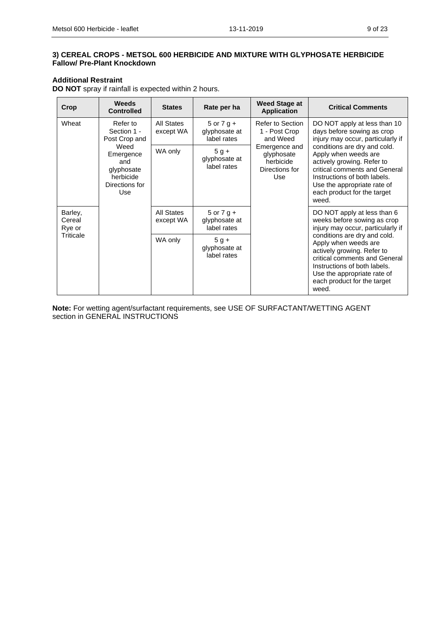### **Additional Restraint**

**DO NOT** spray if rainfall is expected within 2 hours.

| Crop                                     | Weeds<br><b>Controlled</b>                                                                                            | <b>States</b>           | Rate per ha                                    | Weed Stage at<br><b>Application</b>                               | <b>Critical Comments</b>                                                                                                                                                                                                                                                                                                      |
|------------------------------------------|-----------------------------------------------------------------------------------------------------------------------|-------------------------|------------------------------------------------|-------------------------------------------------------------------|-------------------------------------------------------------------------------------------------------------------------------------------------------------------------------------------------------------------------------------------------------------------------------------------------------------------------------|
| Wheat                                    | All States<br>Refer to<br>$5$ or $7$ g +<br>Section 1 -<br>glyphosate at<br>except WA<br>Post Crop and<br>label rates |                         |                                                | Refer to Section<br>1 - Post Crop<br>and Weed                     | DO NOT apply at less than 10<br>days before sowing as crop<br>injury may occur, particularly if                                                                                                                                                                                                                               |
|                                          | Weed<br>Emergence<br>and<br>glyphosate<br>herbicide<br>Directions for<br>Use                                          | WA only                 | $5 g +$<br>glyphosate at<br>label rates        | Emergence and<br>glyphosate<br>herbicide<br>Directions for<br>Use | conditions are dry and cold.<br>Apply when weeds are<br>actively growing. Refer to<br>critical comments and General<br>Instructions of both labels.<br>Use the appropriate rate of<br>each product for the target<br>weed.                                                                                                    |
| Barley,<br>Cereal<br>Rye or<br>Triticale |                                                                                                                       | All States<br>except WA | $5$ or $7$ g +<br>glyphosate at<br>label rates |                                                                   | DO NOT apply at less than 6<br>weeks before sowing as crop<br>injury may occur, particularly if<br>conditions are dry and cold.<br>Apply when weeds are<br>actively growing. Refer to<br>critical comments and General<br>Instructions of both labels.<br>Use the appropriate rate of<br>each product for the target<br>weed. |
|                                          |                                                                                                                       | WA only                 | $5g +$<br>glyphosate at<br>label rates         |                                                                   |                                                                                                                                                                                                                                                                                                                               |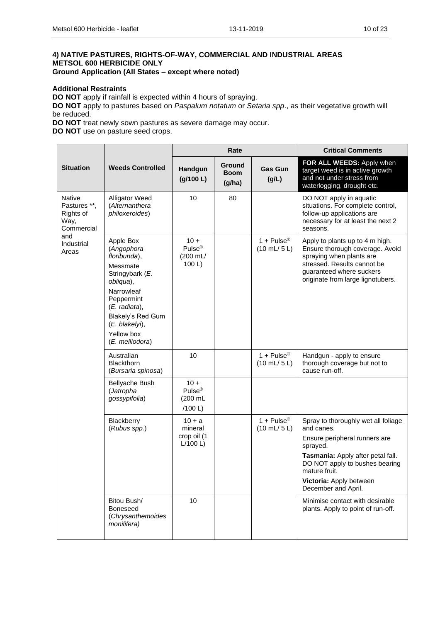### **4) NATIVE PASTURES, RIGHTS-OF-WAY, COMMERCIAL AND INDUSTRIAL AREAS METSOL 600 HERBICIDE ONLY Ground Application (All States – except where noted)**

**Additional Restraints**

**DO NOT** apply if rainfall is expected within 4 hours of spraying.

**DO NOT** apply to pastures based on *Paspalum notatum* or *Setaria spp*., as their vegetative growth will be reduced.

**DO NOT** treat newly sown pastures as severe damage may occur.

**DO NOT** use on pasture seed crops.

|                                                                  |                                                                                                                                                                                                              |                                                      | Rate                            |                                                                   | <b>Critical Comments</b>                                                                                                                                                                                                                 |
|------------------------------------------------------------------|--------------------------------------------------------------------------------------------------------------------------------------------------------------------------------------------------------------|------------------------------------------------------|---------------------------------|-------------------------------------------------------------------|------------------------------------------------------------------------------------------------------------------------------------------------------------------------------------------------------------------------------------------|
| <b>Situation</b>                                                 | <b>Weeds Controlled</b>                                                                                                                                                                                      | Handgun<br>(g/100 L)                                 | Ground<br><b>Boom</b><br>(g/ha) | <b>Gas Gun</b><br>(g/L)                                           | FOR ALL WEEDS: Apply when<br>target weed is in active growth<br>and not under stress from<br>waterlogging, drought etc.                                                                                                                  |
| <b>Native</b><br>Pastures **,<br>Rights of<br>Way,<br>Commercial | <b>Alligator Weed</b><br>(Alternanthera<br>philoxeroides)                                                                                                                                                    | 10                                                   | 80                              |                                                                   | DO NOT apply in aquatic<br>situations. For complete control,<br>follow-up applications are<br>necessary for at least the next 2<br>seasons.                                                                                              |
| and<br>Industrial<br>Areas                                       | Apple Box<br>(Angophora<br>floribunda),<br>Messmate<br>Stringybark (E.<br>obliqua),<br>Narrowleaf<br>Peppermint<br>(E. radiata),<br>Blakely's Red Gum<br>$(E.~blackelyi)$ ,<br>Yellow box<br>(E. melliodora) | $10 +$<br>$Pulse^{\circledR}$<br>(200 mL/<br>100 L   |                                 | 1 + Pulse <sup>®</sup><br>$(10 \text{ mL} / 5 \text{ L})$         | Apply to plants up to 4 m high.<br>Ensure thorough coverage. Avoid<br>spraying when plants are<br>stressed. Results cannot be<br>quaranteed where suckers<br>originate from large lignotubers.                                           |
|                                                                  | Australian<br>Blackthorn<br>(Bursaria spinosa)                                                                                                                                                               | 10                                                   |                                 | $1 + \text{Pulse}^{\circledR}$<br>$(10 \text{ mL} / 5 \text{ L})$ | Handgun - apply to ensure<br>thorough coverage but not to<br>cause run-off.                                                                                                                                                              |
|                                                                  | <b>Bellyache Bush</b><br>(Jatropha<br>gossypifolia)                                                                                                                                                          | $10 +$<br>Pulse <sup>®</sup><br>$(200$ mL<br>/100 L) |                                 |                                                                   |                                                                                                                                                                                                                                          |
|                                                                  | Blackberry<br>(Rubus spp.)                                                                                                                                                                                   | $10 + a$<br>mineral<br>crop oil (1<br>L/100 L        |                                 | 1 + $Pulse^{\circledR}$<br>$(10 \text{ mL} / 5 \text{ L})$        | Spray to thoroughly wet all foliage<br>and canes.<br>Ensure peripheral runners are<br>sprayed.<br>Tasmania: Apply after petal fall.<br>DO NOT apply to bushes bearing<br>mature fruit.<br>Victoria: Apply between<br>December and April. |
|                                                                  | Bitou Bush/<br><b>Boneseed</b><br>(Chrysanthemoides<br>monilifera)                                                                                                                                           | 10                                                   |                                 |                                                                   | Minimise contact with desirable<br>plants. Apply to point of run-off.                                                                                                                                                                    |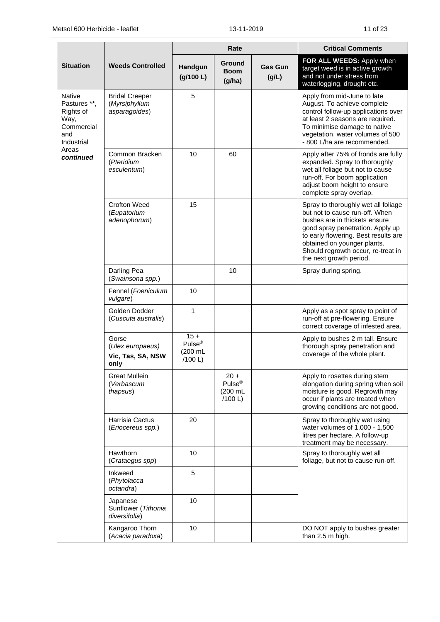|                                                                                |                                                         |                                                     | Rate                                               |                         | <b>Critical Comments</b>                                                                                                                                                                                                                                                           |
|--------------------------------------------------------------------------------|---------------------------------------------------------|-----------------------------------------------------|----------------------------------------------------|-------------------------|------------------------------------------------------------------------------------------------------------------------------------------------------------------------------------------------------------------------------------------------------------------------------------|
| <b>Situation</b>                                                               | <b>Weeds Controlled</b>                                 | Handgun<br>(g/100 L)                                | <b>Ground</b><br><b>Boom</b><br>(q/ha)             | <b>Gas Gun</b><br>(g/L) | FOR ALL WEEDS: Apply when<br>target weed is in active growth<br>and not under stress from<br>waterlogging, drought etc.                                                                                                                                                            |
| Native<br>Pastures **,<br>Rights of<br>Way,<br>Commercial<br>and<br>Industrial | <b>Bridal Creeper</b><br>(Myrsiphyllum<br>asparagoides) | 5                                                   |                                                    |                         | Apply from mid-June to late<br>August. To achieve complete<br>control follow-up applications over<br>at least 2 seasons are required.<br>To minimise damage to native<br>vegetation, water volumes of 500<br>- 800 L/ha are recommended.                                           |
| Areas<br>continued                                                             | Common Bracken<br>(Pteridium<br>esculentum)             | 10                                                  | 60                                                 |                         | Apply after 75% of fronds are fully<br>expanded. Spray to thoroughly<br>wet all foliage but not to cause<br>run-off. For boom application<br>adjust boom height to ensure<br>complete spray overlap.                                                                               |
|                                                                                | <b>Crofton Weed</b><br>(Eupatorium<br>adenophorum)      | 15                                                  |                                                    |                         | Spray to thoroughly wet all foliage<br>but not to cause run-off. When<br>bushes are in thickets ensure<br>good spray penetration. Apply up<br>to early flowering. Best results are<br>obtained on younger plants.<br>Should regrowth occur, re-treat in<br>the next growth period. |
|                                                                                | Darling Pea<br>(Swainsona spp.)                         |                                                     | 10                                                 |                         | Spray during spring.                                                                                                                                                                                                                                                               |
|                                                                                | Fennel (Foeniculum<br>vulgare)                          | 10                                                  |                                                    |                         |                                                                                                                                                                                                                                                                                    |
|                                                                                | Golden Dodder<br>(Cuscuta australis)                    | 1                                                   |                                                    |                         | Apply as a spot spray to point of<br>run-off at pre-flowering. Ensure<br>correct coverage of infested area.                                                                                                                                                                        |
|                                                                                | Gorse<br>(Ulex europaeus)<br>Vic, Tas, SA, NSW<br>only  | $15 +$<br>$Pulse^{\circledR}$<br>(200 mL<br>/100 L) |                                                    |                         | Apply to bushes 2 m tall. Ensure<br>thorough spray penetration and<br>coverage of the whole plant.                                                                                                                                                                                 |
|                                                                                | <b>Great Mullein</b><br>(Verbascum<br>thapsus)          |                                                     | $20 +$<br>Pulse <sup>®</sup><br>(200 mL<br>/100 L) |                         | Apply to rosettes during stem<br>elongation during spring when soil<br>moisture is good. Regrowth may<br>occur if plants are treated when<br>growing conditions are not good.                                                                                                      |
|                                                                                | Harrisia Cactus<br>(Eriocereus spp.)                    | 20                                                  |                                                    |                         | Spray to thoroughly wet using<br>water volumes of 1,000 - 1,500<br>litres per hectare. A follow-up<br>treatment may be necessary.                                                                                                                                                  |
|                                                                                | Hawthorn<br>(Crataegus spp)                             | 10                                                  |                                                    |                         | Spray to thoroughly wet all<br>foliage, but not to cause run-off.                                                                                                                                                                                                                  |
|                                                                                | Inkweed<br>(Phytolacca<br>octandra)                     | $\sqrt{5}$                                          |                                                    |                         |                                                                                                                                                                                                                                                                                    |
|                                                                                | Japanese<br>Sunflower (Tithonia<br>diversifolia)        | 10                                                  |                                                    |                         |                                                                                                                                                                                                                                                                                    |
|                                                                                | Kangaroo Thorn<br>(Acacia paradoxa)                     | 10                                                  |                                                    |                         | DO NOT apply to bushes greater<br>than 2.5 m high.                                                                                                                                                                                                                                 |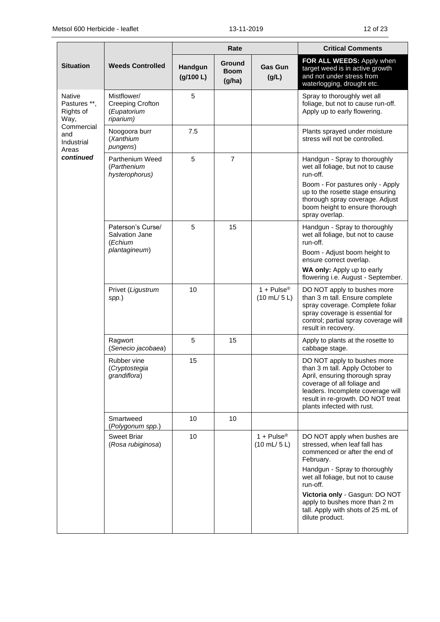|                                                    |                                                                    |                      | Rate                            |                                                               | <b>Critical Comments</b>                                                                                                                                                                                                                                                                                                 |
|----------------------------------------------------|--------------------------------------------------------------------|----------------------|---------------------------------|---------------------------------------------------------------|--------------------------------------------------------------------------------------------------------------------------------------------------------------------------------------------------------------------------------------------------------------------------------------------------------------------------|
| <b>Situation</b>                                   | <b>Weeds Controlled</b>                                            | Handgun<br>(g/100 L) | Ground<br><b>Boom</b><br>(g/ha) | <b>Gas Gun</b><br>(g/L)                                       | FOR ALL WEEDS: Apply when<br>target weed is in active growth<br>and not under stress from<br>waterlogging, drought etc.                                                                                                                                                                                                  |
| <b>Native</b><br>Pastures **,<br>Rights of<br>Way, | Mistflower/<br><b>Creeping Crofton</b><br>(Eupatorium<br>riparium) | 5                    |                                 |                                                               | Spray to thoroughly wet all<br>foliage, but not to cause run-off.<br>Apply up to early flowering.                                                                                                                                                                                                                        |
| Commercial<br>and<br>Industrial<br>Areas           | Noogoora burr<br>(Xanthium<br>pungens)                             | 7.5                  |                                 |                                                               | Plants sprayed under moisture<br>stress will not be controlled.                                                                                                                                                                                                                                                          |
| continued                                          | Parthenium Weed<br>(Parthenium<br>hysterophorus)                   | 5                    | $\overline{7}$                  |                                                               | Handgun - Spray to thoroughly<br>wet all foliage, but not to cause<br>run-off.<br>Boom - For pastures only - Apply<br>up to the rosette stage ensuring<br>thorough spray coverage. Adjust<br>boom height to ensure thorough<br>spray overlap.                                                                            |
|                                                    | Paterson's Curse/<br>Salvation Jane<br>(Echium<br>plantagineum)    | 5                    | 15                              |                                                               | Handgun - Spray to thoroughly<br>wet all foliage, but not to cause<br>run-off.<br>Boom - Adjust boom height to<br>ensure correct overlap.<br>WA only: Apply up to early<br>flowering i.e. August - September.                                                                                                            |
|                                                    | Privet (Ligustrum<br>spp.)                                         | 10                   |                                 | 1 + $Pulse^{\circledR}$<br>$(10 \text{ mL} / 5 \text{ L})$    | DO NOT apply to bushes more<br>than 3 m tall. Ensure complete<br>spray coverage. Complete foliar<br>spray coverage is essential for<br>control; partial spray coverage will<br>result in recovery.                                                                                                                       |
|                                                    | Ragwort<br>(Senecio jacobaea)                                      | 5                    | 15                              |                                                               | Apply to plants at the rosette to<br>cabbage stage.                                                                                                                                                                                                                                                                      |
|                                                    | Rubber vine<br>(Cryptostegia<br>grandiflora)                       | 15                   |                                 |                                                               | DO NOT apply to bushes more<br>than 3 m tall. Apply October to<br>April, ensuring thorough spray<br>coverage of all foliage and<br>leaders. Incomplete coverage will<br>result in re-growth. DO NOT treat<br>plants infected with rust.                                                                                  |
|                                                    | Smartweed<br>(Polygonum spp.)                                      | 10                   | 10                              |                                                               |                                                                                                                                                                                                                                                                                                                          |
|                                                    | <b>Sweet Briar</b><br>(Rosa rubiginosa)                            | 10                   |                                 | $1 + \text{Pulse}^{\circ}$<br>$(10 \text{ mL} / 5 \text{ L})$ | DO NOT apply when bushes are<br>stressed, when leaf fall has<br>commenced or after the end of<br>February.<br>Handgun - Spray to thoroughly<br>wet all foliage, but not to cause<br>run-off.<br>Victoria only - Gasgun: DO NOT<br>apply to bushes more than 2 m<br>tall. Apply with shots of 25 mL of<br>dilute product. |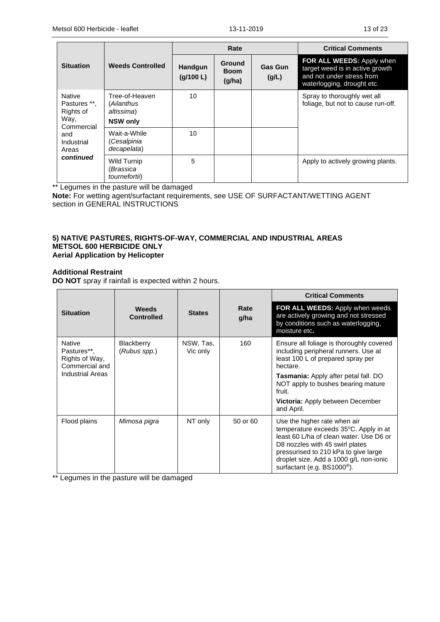|                                                                  |                                                               | Rate                        |                                 |                         | <b>Critical Comments</b>                                                                                                |
|------------------------------------------------------------------|---------------------------------------------------------------|-----------------------------|---------------------------------|-------------------------|-------------------------------------------------------------------------------------------------------------------------|
| <b>Situation</b>                                                 | <b>Weeds Controlled</b>                                       | <b>Handgun</b><br>(g/100 L) | Ground<br><b>Boom</b><br>(g/ha) | <b>Gas Gun</b><br>(g/L) | FOR ALL WEEDS: Apply when<br>target weed is in active growth<br>and not under stress from<br>waterlogging, drought etc. |
| <b>Native</b><br>Pastures **,<br>Rights of<br>Way,<br>Commercial | Tree-of-Heaven<br>(Ailanthus<br>altissima)<br><b>NSW only</b> | 10                          |                                 |                         | Spray to thoroughly wet all<br>foliage, but not to cause run-off.                                                       |
| and<br>Industrial<br>Areas                                       | Wait-a-While<br>(Cesalpinia<br>decapelata)                    | 10                          |                                 |                         |                                                                                                                         |
| continued                                                        | <b>Wild Turnip</b><br>(Brassica<br>tournefortii)              | 5                           |                                 |                         | Apply to actively growing plants.                                                                                       |

\*\* Legumes in the pasture will be damaged

**Note:** For wetting agent/surfactant requirements, see USE OF SURFACTANT/WETTING AGENT section in GENERAL INSTRUCTIONS

#### **5) NATIVE PASTURES, RIGHTS-OF-WAY, COMMERCIAL AND INDUSTRIAL AREAS METSOL 600 HERBICIDE ONLY Aerial Application by Helicopter**

### **Additional Restraint**

**DO NOT** spray if rainfall is expected within 2 hours.

|                                                                  |                                   |                       |              | <b>Critical Comments</b>                                                                                                                                                                                                                                                      |
|------------------------------------------------------------------|-----------------------------------|-----------------------|--------------|-------------------------------------------------------------------------------------------------------------------------------------------------------------------------------------------------------------------------------------------------------------------------------|
| <b>Situation</b>                                                 | <b>Weeds</b><br><b>Controlled</b> | <b>States</b>         | Rate<br>g/ha | FOR ALL WEEDS: Apply when weeds<br>are actively growing and not stressed<br>by conditions such as waterlogging,<br>moisture etc.                                                                                                                                              |
| <b>Native</b><br>Pastures**.<br>Rights of Way,<br>Commercial and | <b>Blackberry</b><br>(Rubus spp.) | NSW, Tas,<br>Vic only | 160          | Ensure all foliage is thoroughly covered<br>including peripheral runners. Use at<br>least 100 L of prepared spray per<br>hectare.                                                                                                                                             |
| <b>Industrial Areas</b>                                          |                                   |                       |              | Tasmania: Apply after petal fall. DO<br>NOT apply to bushes bearing mature<br>fruit.                                                                                                                                                                                          |
|                                                                  |                                   |                       |              | <b>Victoria:</b> Apply between December<br>and April.                                                                                                                                                                                                                         |
| Flood plains                                                     | Mimosa pigra                      | NT only               | 50 or 60     | Use the higher rate when air<br>temperature exceeds 35°C. Apply in at<br>least 60 L/ha of clean water. Use D6 or<br>D8 nozzles with 45 swirl plates<br>pressurised to 210 kPa to give large<br>droplet size. Add a 1000 g/L non-ionic<br>surfactant (e.g. $BS1000^{\circ}$ ). |

\*\* Legumes in the pasture will be damaged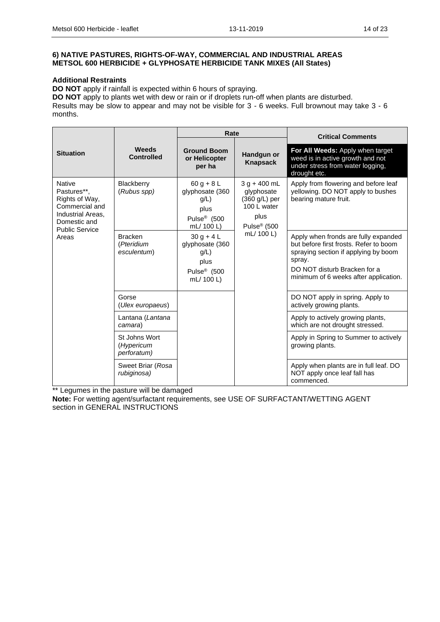### **6) NATIVE PASTURES, RIGHTS-OF-WAY, COMMERCIAL AND INDUSTRIAL AREAS METSOL 600 HERBICIDE + GLYPHOSATE HERBICIDE TANK MIXES (All States)**

#### **Additional Restraints**

**DO NOT** apply if rainfall is expected within 6 hours of spraying.

**DO NOT** apply to plants wet with dew or rain or if droplets run-off when plants are disturbed.

Results may be slow to appear and may not be visible for 3 - 6 weeks. Full brownout may take 3 - 6 months.

|                                                                                                                                |                                             | Rate                                                                                     |                                                                                                 | <b>Critical Comments</b>                                                                                                                                                                                  |
|--------------------------------------------------------------------------------------------------------------------------------|---------------------------------------------|------------------------------------------------------------------------------------------|-------------------------------------------------------------------------------------------------|-----------------------------------------------------------------------------------------------------------------------------------------------------------------------------------------------------------|
| <b>Situation</b>                                                                                                               | <b>Weeds</b><br><b>Controlled</b>           | <b>Ground Boom</b><br>or Helicopter<br>per ha                                            | Handgun or<br><b>Knapsack</b>                                                                   | For All Weeds: Apply when target<br>weed is in active growth and not<br>under stress from water logging,<br>drought etc.                                                                                  |
| <b>Native</b><br>Pastures**.<br>Rights of Way,<br>Commercial and<br>Industrial Areas.<br>Domestic and<br><b>Public Service</b> | Blackberry<br>(Rubus spp)                   | $60 g + 8 L$<br>glyphosate (360<br>q/L<br>plus<br>Pulse <sup>®</sup> (500<br>mL/ 100 L)  | $3 g + 400 mL$<br>glyphosate<br>(360 g/L) per<br>100 L water<br>plus<br>Pulse <sup>®</sup> (500 | Apply from flowering and before leaf<br>yellowing. DO NOT apply to bushes<br>bearing mature fruit.                                                                                                        |
| Areas                                                                                                                          | <b>Bracken</b><br>(Pteridium<br>esculentum) | $30 g + 4 L$<br>glyphosate (360<br>$g/L$ )<br>plus<br>Pulse <sup>®</sup> (500<br>mL/100L | mL/ 100 L)                                                                                      | Apply when fronds are fully expanded<br>but before first frosts. Refer to boom<br>spraying section if applying by boom<br>spray.<br>DO NOT disturb Bracken for a<br>minimum of 6 weeks after application. |
|                                                                                                                                | Gorse<br>(Ulex europaeus)                   |                                                                                          |                                                                                                 | DO NOT apply in spring. Apply to<br>actively growing plants.                                                                                                                                              |
|                                                                                                                                | Lantana (Lantana<br>camara)                 |                                                                                          |                                                                                                 | Apply to actively growing plants,<br>which are not drought stressed.                                                                                                                                      |
|                                                                                                                                | St Johns Wort<br>(Hypericum<br>perforatum)  |                                                                                          |                                                                                                 | Apply in Spring to Summer to actively<br>growing plants.                                                                                                                                                  |
|                                                                                                                                | Sweet Briar (Rosa<br>rubiginosa)            |                                                                                          |                                                                                                 | Apply when plants are in full leaf. DO<br>NOT apply once leaf fall has<br>commenced.                                                                                                                      |

\*\* Legumes in the pasture will be damaged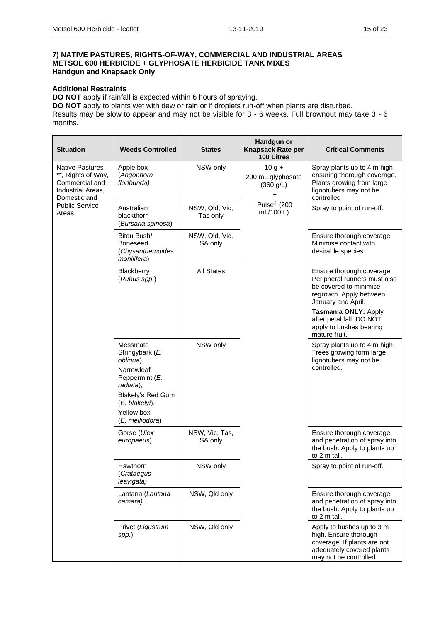#### **7) NATIVE PASTURES, RIGHTS-OF-WAY, COMMERCIAL AND INDUSTRIAL AREAS METSOL 600 HERBICIDE + GLYPHOSATE HERBICIDE TANK MIXES Handgun and Knapsack Only**

#### **Additional Restraints**

**DO NOT** apply if rainfall is expected within 6 hours of spraying.

**DO NOT** apply to plants wet with dew or rain or if droplets run-off when plants are disturbed. Results may be slow to appear and may not be visible for 3 - 6 weeks. Full brownout may take 3 - 6 months.

| <b>Situation</b>                                                                                    | <b>Weeds Controlled</b>                                                                                                                                       | <b>States</b>              | Handgun or<br>Knapsack Rate per<br>100 Litres                                                  | <b>Critical Comments</b>                                                                                                                 |  |                                                                                                   |  |  |                            |
|-----------------------------------------------------------------------------------------------------|---------------------------------------------------------------------------------------------------------------------------------------------------------------|----------------------------|------------------------------------------------------------------------------------------------|------------------------------------------------------------------------------------------------------------------------------------------|--|---------------------------------------------------------------------------------------------------|--|--|----------------------------|
| <b>Native Pastures</b><br>**, Rights of Way,<br>Commercial and<br>Industrial Areas,<br>Domestic and | Apple box<br>(Angophora<br>floribunda)                                                                                                                        | NSW only                   | $10 g +$<br>200 mL glyphosate<br>(360 g/L)<br>$\ddot{}$<br>Pulse <sup>®</sup> (200<br>mL/100 L | Spray plants up to 4 m high<br>ensuring thorough coverage.<br>Plants growing from large<br>lignotubers may not be<br>controlled          |  |                                                                                                   |  |  |                            |
| <b>Public Service</b><br>Areas                                                                      | Australian<br>blackthorn<br>(Bursaria spinosa)                                                                                                                | NSW, Qld, Vic,<br>Tas only |                                                                                                | Spray to point of run-off.                                                                                                               |  |                                                                                                   |  |  |                            |
|                                                                                                     | Bitou Bush/<br><b>Boneseed</b><br>(Chysanthemoides<br>monilifera)                                                                                             | NSW, Qld, Vic,<br>SA only  |                                                                                                | Ensure thorough coverage.<br>Minimise contact with<br>desirable species.                                                                 |  |                                                                                                   |  |  |                            |
|                                                                                                     | Blackberry<br>(Rubus spp.)                                                                                                                                    | <b>All States</b>          |                                                                                                | Ensure thorough coverage.<br>Peripheral runners must also<br>be covered to minimise<br>regrowth. Apply between<br>January and April.     |  |                                                                                                   |  |  |                            |
|                                                                                                     |                                                                                                                                                               |                            |                                                                                                | Tasmania ONLY: Apply<br>after petal fall. DO NOT<br>apply to bushes bearing<br>mature fruit.                                             |  |                                                                                                   |  |  |                            |
|                                                                                                     | Messmate<br>Stringybark (E.<br>obliqua),<br>Narrowleaf<br>Peppermint (E.<br>radiata),<br>Blakely's Red Gum<br>(E. blakelyi),<br>Yellow box<br>(E. melliodora) | NSW only                   |                                                                                                |                                                                                                                                          |  | Spray plants up to 4 m high.<br>Trees growing form large<br>lignotubers may not be<br>controlled. |  |  |                            |
|                                                                                                     | Gorse (Ulex<br>europaeus)                                                                                                                                     | NSW, Vic, Tas,<br>SA only  |                                                                                                | Ensure thorough coverage<br>and penetration of spray into<br>the bush. Apply to plants up<br>to 2 m tall.                                |  |                                                                                                   |  |  |                            |
|                                                                                                     | Hawthorn<br>(Crataegus<br>leavigata)                                                                                                                          | NSW only                   |                                                                                                |                                                                                                                                          |  |                                                                                                   |  |  | Spray to point of run-off. |
|                                                                                                     | Lantana (Lantana<br>camara)                                                                                                                                   | NSW, Qld only              |                                                                                                | Ensure thorough coverage<br>and penetration of spray into<br>the bush. Apply to plants up<br>to 2 m tall.                                |  |                                                                                                   |  |  |                            |
|                                                                                                     | Privet (Ligustrum<br>spp.)                                                                                                                                    | NSW, Qld only              |                                                                                                | Apply to bushes up to 3 m<br>high. Ensure thorough<br>coverage. If plants are not<br>adequately covered plants<br>may not be controlled. |  |                                                                                                   |  |  |                            |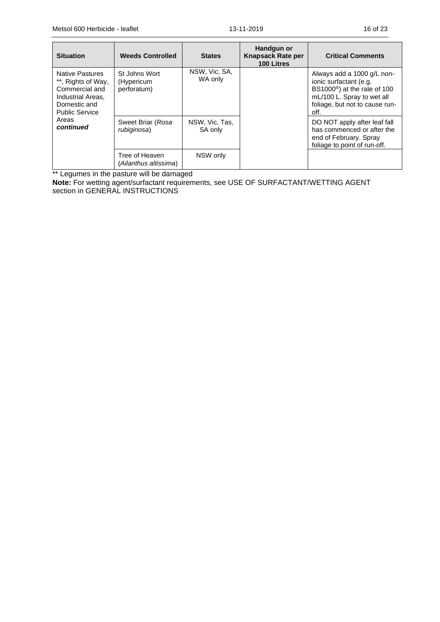| <b>Situation</b>                                                                                                      | <b>Weeds Controlled</b>                    | <b>States</b>             | Handgun or<br><b>Knapsack Rate per</b><br>100 Litres | <b>Critical Comments</b>                                                                                                                                                 |
|-----------------------------------------------------------------------------------------------------------------------|--------------------------------------------|---------------------------|------------------------------------------------------|--------------------------------------------------------------------------------------------------------------------------------------------------------------------------|
| Native Pastures<br>**, Rights of Way,<br>Commercial and<br>Industrial Areas.<br>Domestic and<br><b>Public Service</b> | St Johns Wort<br>(Hypericum<br>perforatum) | NSW, Vic, SA,<br>WA only  |                                                      | Always add a 1000 g/L non-<br>ionic surfactant (e.g.<br>BS1000 <sup>®</sup> ) at the rate of 100<br>mL/100 L. Spray to wet all<br>foliage, but not to cause run-<br>off. |
| Areas<br>continued                                                                                                    | Sweet Briar (Rosa<br>rubiginosa)           | NSW, Vic, Tas,<br>SA only |                                                      | DO NOT apply after leaf fall<br>has commenced or after the<br>end of February. Spray<br>foliage to point of run-off.                                                     |
|                                                                                                                       | Tree of Heaven<br>(Ailanthus altissima)    | NSW only                  |                                                      |                                                                                                                                                                          |

\*\* Legumes in the pasture will be damaged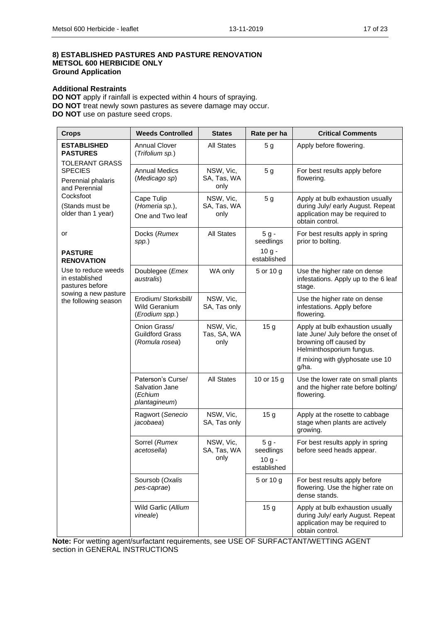### **8) ESTABLISHED PASTURES AND PASTURE RENOVATION METSOL 600 HERBICIDE ONLY Ground Application**

#### **Additional Restraints**

**DO NOT** apply if rainfall is expected within 4 hours of spraying. **DO NOT** treat newly sown pastures as severe damage may occur. **DO NOT** use on pasture seed crops.

| <b>Crops</b>                                                   | <b>Weeds Controlled</b>                                         | <b>States</b>                    | Rate per ha                                    | <b>Critical Comments</b>                                                                                                                                                   |
|----------------------------------------------------------------|-----------------------------------------------------------------|----------------------------------|------------------------------------------------|----------------------------------------------------------------------------------------------------------------------------------------------------------------------------|
| <b>ESTABLISHED</b><br><b>PASTURES</b><br><b>TOLERANT GRASS</b> | <b>Annual Clover</b><br>(Trifolium sp.)                         | <b>All States</b>                | 5 <sub>g</sub>                                 | Apply before flowering.                                                                                                                                                    |
| <b>SPECIES</b><br>Perennial phalaris<br>and Perennial          | <b>Annual Medics</b><br>(Medicago sp)                           | NSW, Vic,<br>SA, Tas, WA<br>only | 5 <sub>g</sub>                                 | For best results apply before<br>flowering.                                                                                                                                |
| Cocksfoot<br>(Stands must be<br>older than 1 year)             | Cape Tulip<br>(Homeria sp.),<br>One and Two leaf                | NSW, Vic,<br>SA, Tas, WA<br>only | 5 <sub>g</sub>                                 | Apply at bulb exhaustion usually<br>during July/ early August. Repeat<br>application may be required to<br>obtain control.                                                 |
| or<br><b>PASTURE</b>                                           | Docks (Rumex<br>spp.)                                           | <b>All States</b>                | $5g -$<br>seedlings<br>$10 g -$                | For best results apply in spring<br>prior to bolting.                                                                                                                      |
| <b>RENOVATION</b>                                              |                                                                 |                                  | established                                    |                                                                                                                                                                            |
| Use to reduce weeds<br>in established<br>pastures before       | Doublegee (Emex<br>australis)                                   | WA only                          | 5 or 10 g                                      | Use the higher rate on dense<br>infestations. Apply up to the 6 leaf<br>stage.                                                                                             |
| sowing a new pasture<br>the following season                   | Erodium/ Storksbill/<br><b>Wild Geranium</b><br>(Erodium spp.)  | NSW, Vic,<br>SA, Tas only        |                                                | Use the higher rate on dense<br>infestations. Apply before<br>flowering.                                                                                                   |
|                                                                | Onion Grass/<br><b>Guildford Grass</b><br>(Romula rosea)        | NSW, Vic,<br>Tas, SA, WA<br>only | 15 <sub>g</sub>                                | Apply at bulb exhaustion usually<br>late June/ July before the onset of<br>browning off caused by<br>Helminthosporium fungus.<br>If mixing with glyphosate use 10<br>g/ha. |
|                                                                | Paterson's Curse/<br>Salvation Jane<br>(Echium<br>plantagineum) | <b>All States</b>                | 10 or 15 g                                     | Use the lower rate on small plants<br>and the higher rate before bolting/<br>flowering.                                                                                    |
|                                                                | Ragwort (Senecio<br>jacobaea)                                   | NSW, Vic,<br>SA, Tas only        | 15 <sub>g</sub>                                | Apply at the rosette to cabbage<br>stage when plants are actively<br>growing.                                                                                              |
|                                                                | Sorrel (Rumex<br>acetosella)                                    | NSW, Vic,<br>SA, Tas, WA<br>only | $5g -$<br>seedlings<br>$10 g -$<br>established | For best results apply in spring<br>before seed heads appear.                                                                                                              |
|                                                                | Soursob (Oxalis<br>pes-caprae)                                  |                                  | 5 or 10 g                                      | For best results apply before<br>flowering. Use the higher rate on<br>dense stands.                                                                                        |
|                                                                | Wild Garlic (Allium<br>vineale)                                 |                                  | 15 <sub>g</sub>                                | Apply at bulb exhaustion usually<br>during July/ early August. Repeat<br>application may be required to<br>obtain control.                                                 |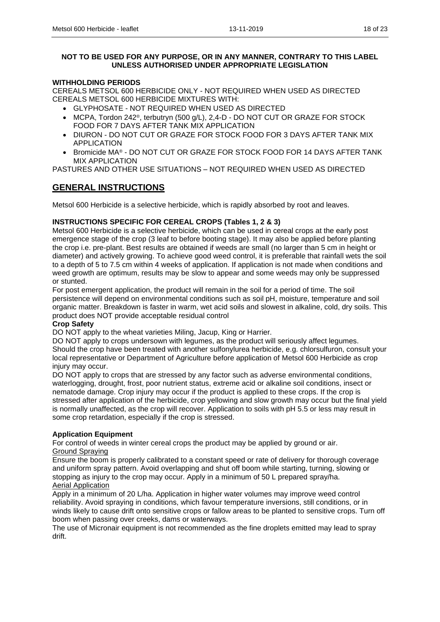### **NOT TO BE USED FOR ANY PURPOSE, OR IN ANY MANNER, CONTRARY TO THIS LABEL UNLESS AUTHORISED UNDER APPROPRIATE LEGISLATION**

### **WITHHOLDING PERIODS**

CEREALS METSOL 600 HERBICIDE ONLY - NOT REQUIRED WHEN USED AS DIRECTED CEREALS METSOL 600 HERBICIDE MIXTURES WITH:

- GLYPHOSATE NOT REQUIRED WHEN USED AS DIRECTED
- MCPA, Tordon 242®, terbutryn (500 g/L), 2,4-D DO NOT CUT OR GRAZE FOR STOCK FOOD FOR 7 DAYS AFTER TANK MIX APPLICATION
- DIURON DO NOT CUT OR GRAZE FOR STOCK FOOD FOR 3 DAYS AFTER TANK MIX APPLICATION
- Bromicide MA® DO NOT CUT OR GRAZE FOR STOCK FOOD FOR 14 DAYS AFTER TANK MIX APPLICATION

PASTURES AND OTHER USE SITUATIONS – NOT REQUIRED WHEN USED AS DIRECTED

# **GENERAL INSTRUCTIONS**

Metsol 600 Herbicide is a selective herbicide, which is rapidly absorbed by root and leaves.

### **INSTRUCTIONS SPECIFIC FOR CEREAL CROPS (Tables 1, 2 & 3)**

Metsol 600 Herbicide is a selective herbicide, which can be used in cereal crops at the early post emergence stage of the crop (3 leaf to before booting stage). It may also be applied before planting the crop i.e. pre-plant. Best results are obtained if weeds are small (no larger than 5 cm in height or diameter) and actively growing. To achieve good weed control, it is preferable that rainfall wets the soil to a depth of 5 to 7.5 cm within 4 weeks of application. If application is not made when conditions and weed growth are optimum, results may be slow to appear and some weeds may only be suppressed or stunted.

For post emergent application, the product will remain in the soil for a period of time. The soil persistence will depend on environmental conditions such as soil pH, moisture, temperature and soil organic matter. Breakdown is faster in warm, wet acid soils and slowest in alkaline, cold, dry soils. This product does NOT provide acceptable residual control

### **Crop Safety**

DO NOT apply to the wheat varieties Miling, Jacup, King or Harrier.

DO NOT apply to crops undersown with legumes, as the product will seriously affect legumes. Should the crop have been treated with another sulfonylurea herbicide, e.g. chlorsulfuron, consult your local representative or Department of Agriculture before application of Metsol 600 Herbicide as crop injury may occur.

DO NOT apply to crops that are stressed by any factor such as adverse environmental conditions, waterlogging, drought, frost, poor nutrient status, extreme acid or alkaline soil conditions, insect or nematode damage. Crop injury may occur if the product is applied to these crops. If the crop is stressed after application of the herbicide, crop yellowing and slow growth may occur but the final yield is normally unaffected, as the crop will recover. Application to soils with pH 5.5 or less may result in some crop retardation, especially if the crop is stressed.

### **Application Equipment**

For control of weeds in winter cereal crops the product may be applied by ground or air. Ground Spraying

Ensure the boom is properly calibrated to a constant speed or rate of delivery for thorough coverage and uniform spray pattern. Avoid overlapping and shut off boom while starting, turning, slowing or stopping as injury to the crop may occur. Apply in a minimum of 50 L prepared spray/ha. Aerial Application

Apply in a minimum of 20 L/ha. Application in higher water volumes may improve weed control reliability. Avoid spraying in conditions, which favour temperature inversions, still conditions, or in winds likely to cause drift onto sensitive crops or fallow areas to be planted to sensitive crops. Turn off boom when passing over creeks, dams or waterways.

The use of Micronair equipment is not recommended as the fine droplets emitted may lead to spray drift.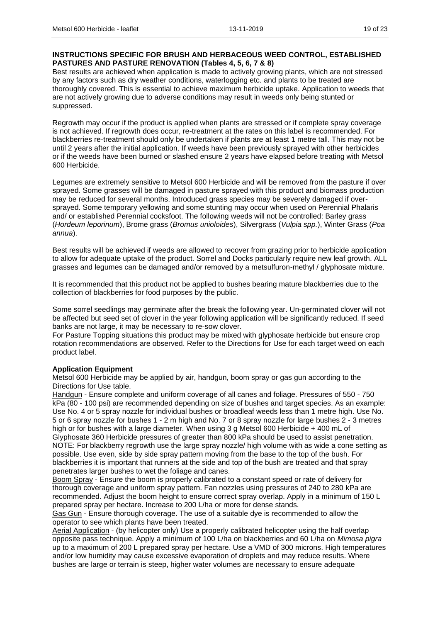### **INSTRUCTIONS SPECIFIC FOR BRUSH AND HERBACEOUS WEED CONTROL, ESTABLISHED PASTURES AND PASTURE RENOVATION (Tables 4, 5, 6, 7 & 8)**

Best results are achieved when application is made to actively growing plants, which are not stressed by any factors such as dry weather conditions, waterlogging etc. and plants to be treated are thoroughly covered. This is essential to achieve maximum herbicide uptake. Application to weeds that are not actively growing due to adverse conditions may result in weeds only being stunted or suppressed.

Regrowth may occur if the product is applied when plants are stressed or if complete spray coverage is not achieved. If regrowth does occur, re-treatment at the rates on this label is recommended. For blackberries re-treatment should only be undertaken if plants are at least 1 metre tall. This may not be until 2 years after the initial application. If weeds have been previously sprayed with other herbicides or if the weeds have been burned or slashed ensure 2 years have elapsed before treating with Metsol 600 Herbicide.

Legumes are extremely sensitive to Metsol 600 Herbicide and will be removed from the pasture if over sprayed. Some grasses will be damaged in pasture sprayed with this product and biomass production may be reduced for several months. Introduced grass species may be severely damaged if oversprayed. Some temporary yellowing and some stunting may occur when used on Perennial Phalaris and/ or established Perennial cocksfoot. The following weeds will not be controlled: Barley grass (*Hordeum leporinum*), Brome grass (*Bromus unioloides*), Silvergrass (*Vulpia spp.*), Winter Grass (*Poa annua*).

Best results will be achieved if weeds are allowed to recover from grazing prior to herbicide application to allow for adequate uptake of the product. Sorrel and Docks particularly require new leaf growth. ALL grasses and legumes can be damaged and/or removed by a metsulfuron-methyl / glyphosate mixture.

It is recommended that this product not be applied to bushes bearing mature blackberries due to the collection of blackberries for food purposes by the public.

Some sorrel seedlings may germinate after the break the following year. Un-germinated clover will not be affected but seed set of clover in the year following application will be significantly reduced. If seed banks are not large, it may be necessary to re-sow clover.

For Pasture Topping situations this product may be mixed with glyphosate herbicide but ensure crop rotation recommendations are observed. Refer to the Directions for Use for each target weed on each product label.

### **Application Equipment**

Metsol 600 Herbicide may be applied by air, handgun, boom spray or gas gun according to the Directions for Use table.

Handgun - Ensure complete and uniform coverage of all canes and foliage. Pressures of 550 - 750 kPa (80 - 100 psi) are recommended depending on size of bushes and target species. As an example: Use No. 4 or 5 spray nozzle for individual bushes or broadleaf weeds less than 1 metre high. Use No. 5 or 6 spray nozzle for bushes 1 - 2 m high and No. 7 or 8 spray nozzle for large bushes 2 - 3 metres high or for bushes with a large diameter. When using 3 g Metsol 600 Herbicide + 400 mL of Glyphosate 360 Herbicide pressures of greater than 800 kPa should be used to assist penetration. NOTE: For blackberry regrowth use the large spray nozzle/ high volume with as wide a cone setting as possible. Use even, side by side spray pattern moving from the base to the top of the bush. For blackberries it is important that runners at the side and top of the bush are treated and that spray penetrates larger bushes to wet the foliage and canes.

Boom Spray - Ensure the boom is properly calibrated to a constant speed or rate of delivery for thorough coverage and uniform spray pattern. Fan nozzles using pressures of 240 to 280 kPa are recommended. Adjust the boom height to ensure correct spray overlap. Apply in a minimum of 150 L prepared spray per hectare. Increase to 200 L/ha or more for dense stands.

Gas Gun - Ensure thorough coverage. The use of a suitable dye is recommended to allow the operator to see which plants have been treated.

Aerial Application - (by helicopter only) Use a properly calibrated helicopter using the half overlap opposite pass technique. Apply a minimum of 100 L/ha on blackberries and 60 L/ha on *Mimosa pigra* up to a maximum of 200 L prepared spray per hectare. Use a VMD of 300 microns. High temperatures and/or low humidity may cause excessive evaporation of droplets and may reduce results. Where bushes are large or terrain is steep, higher water volumes are necessary to ensure adequate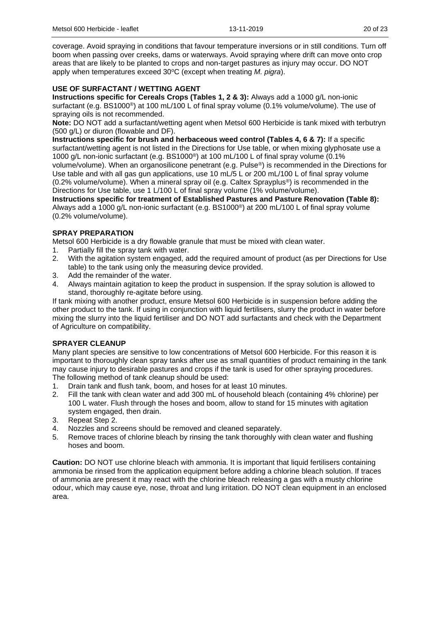coverage. Avoid spraying in conditions that favour temperature inversions or in still conditions. Turn off boom when passing over creeks, dams or waterways. Avoid spraying where drift can move onto crop areas that are likely to be planted to crops and non-target pastures as injury may occur. DO NOT apply when temperatures exceed 30°C (except when treating *M. pigra*).

### **USE OF SURFACTANT / WETTING AGENT**

**Instructions specific for Cereals Crops (Tables 1, 2 & 3):** Always add a 1000 g/L non-ionic surfactant (e.g. BS1000<sup>®</sup>) at 100 mL/100 L of final spray volume (0.1% volume/volume). The use of spraying oils is not recommended.

**Note:** DO NOT add a surfactant/wetting agent when Metsol 600 Herbicide is tank mixed with terbutryn (500 g/L) or diuron (flowable and DF).

**Instructions specific for brush and herbaceous weed control (Tables 4, 6 & 7):** If a specific surfactant/wetting agent is not listed in the Directions for Use table, or when mixing glyphosate use a 1000 g/L non-ionic surfactant (e.g. BS1000®) at 100 mL/100 L of final spray volume (0.1% volume/volume). When an organosilicone penetrant (e.g. Pulse®) is recommended in the Directions for Use table and with all gas gun applications, use 10 mL/5 L or 200 mL/100 L of final spray volume (0.2% volume/volume). When a mineral spray oil (e.g. Caltex Sprayplus®) is recommended in the Directions for Use table, use 1 L/100 L of final spray volume (1% volume/volume).

**Instructions specific for treatment of Established Pastures and Pasture Renovation (Table 8):**  Always add a 1000 g/L non-ionic surfactant (e.g. BS1000®) at 200 mL/100 L of final spray volume (0.2% volume/volume).

### **SPRAY PREPARATION**

Metsol 600 Herbicide is a dry flowable granule that must be mixed with clean water.

- 1. Partially fill the spray tank with water.
- 2. With the agitation system engaged, add the required amount of product (as per Directions for Use table) to the tank using only the measuring device provided.
- 3. Add the remainder of the water.
- 4. Always maintain agitation to keep the product in suspension. If the spray solution is allowed to stand, thoroughly re-agitate before using.

If tank mixing with another product, ensure Metsol 600 Herbicide is in suspension before adding the other product to the tank. If using in conjunction with liquid fertilisers, slurry the product in water before mixing the slurry into the liquid fertiliser and DO NOT add surfactants and check with the Department of Agriculture on compatibility.

### **SPRAYER CLEANUP**

Many plant species are sensitive to low concentrations of Metsol 600 Herbicide. For this reason it is important to thoroughly clean spray tanks after use as small quantities of product remaining in the tank may cause injury to desirable pastures and crops if the tank is used for other spraying procedures. The following method of tank cleanup should be used:

- 1. Drain tank and flush tank, boom, and hoses for at least 10 minutes.
- 2. Fill the tank with clean water and add 300 mL of household bleach (containing 4% chlorine) per 100 L water. Flush through the hoses and boom, allow to stand for 15 minutes with agitation system engaged, then drain.
- 3. Repeat Step 2.
- 4. Nozzles and screens should be removed and cleaned separately.
- 5. Remove traces of chlorine bleach by rinsing the tank thoroughly with clean water and flushing hoses and boom.

**Caution:** DO NOT use chlorine bleach with ammonia. It is important that liquid fertilisers containing ammonia be rinsed from the application equipment before adding a chlorine bleach solution. If traces of ammonia are present it may react with the chlorine bleach releasing a gas with a musty chlorine odour, which may cause eye, nose, throat and lung irritation. DO NOT clean equipment in an enclosed area.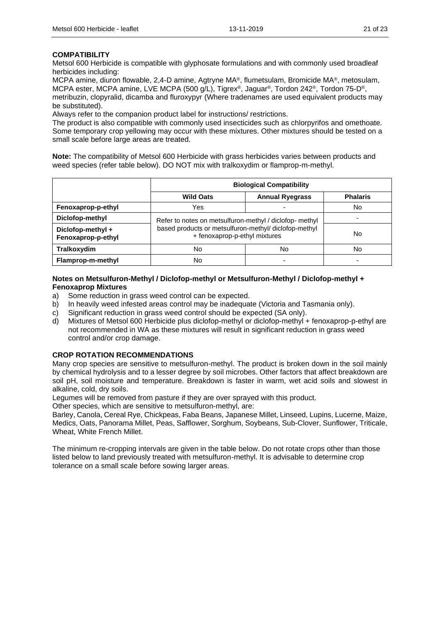### **COMPATIBILITY**

Metsol 600 Herbicide is compatible with glyphosate formulations and with commonly used broadleaf herbicides including:

MCPA amine, diuron flowable, 2,4-D amine, Agtryne MA®, flumetsulam, Bromicide MA®, metosulam, MCPA ester, MCPA amine, LVE MCPA (500 g/L), Tigrex®, Jaguar®, Tordon 242®, Tordon 75-D®, metribuzin, clopyralid, dicamba and fluroxypyr (Where tradenames are used equivalent products may be substituted).

Always refer to the companion product label for instructions/ restrictions.

The product is also compatible with commonly used insecticides such as chlorpyrifos and omethoate. Some temporary crop yellowing may occur with these mixtures. Other mixtures should be tested on a small scale before large areas are treated.

**Note:** The compatibility of Metsol 600 Herbicide with grass herbicides varies between products and weed species (refer table below). DO NOT mix with tralkoxydim or flamprop-m-methyl.

|                                         | <b>Biological Compatibility</b>                                                              |                                                         |                 |  |
|-----------------------------------------|----------------------------------------------------------------------------------------------|---------------------------------------------------------|-----------------|--|
|                                         | <b>Wild Oats</b>                                                                             | <b>Annual Ryegrass</b>                                  | <b>Phalaris</b> |  |
| Fenoxaprop-p-ethyl                      | Yes                                                                                          |                                                         | No              |  |
| Diclofop-methyl                         |                                                                                              | Refer to notes on metsulfuron-methyl / diclofop- methyl |                 |  |
| Diclofop-methyl +<br>Fenoxaprop-p-ethyl | based products or metsulfuron-methyl/ diclofop-methyl<br>No<br>+ fenoxaprop-p-ethyl mixtures |                                                         |                 |  |
| Tralkoxydim                             | No                                                                                           | No                                                      | No              |  |
| Flamprop-m-methyl                       | No                                                                                           |                                                         |                 |  |

#### **Notes on Metsulfuron-Methyl / Diclofop-methyl or Metsulfuron-Methyl / Diclofop-methyl + Fenoxaprop Mixtures**

- a) Some reduction in grass weed control can be expected.
- b) In heavily weed infested areas control may be inadequate (Victoria and Tasmania only).
- c) Significant reduction in grass weed control should be expected (SA only).
- d) Mixtures of Metsol 600 Herbicide plus diclofop-methyl or diclofop-methyl + fenoxaprop-p-ethyl are not recommended in WA as these mixtures will result in significant reduction in grass weed control and/or crop damage.

### **CROP ROTATION RECOMMENDATIONS**

Many crop species are sensitive to metsulfuron-methyl. The product is broken down in the soil mainly by chemical hydrolysis and to a lesser degree by soil microbes. Other factors that affect breakdown are soil pH, soil moisture and temperature. Breakdown is faster in warm, wet acid soils and slowest in alkaline, cold, dry soils.

Legumes will be removed from pasture if they are over sprayed with this product.

Other species, which are sensitive to metsulfuron-methyl, are:

Barley, Canola, Cereal Rye, Chickpeas, Faba Beans, Japanese Millet, Linseed, Lupins, Lucerne, Maize, Medics, Oats, Panorama Millet, Peas, Safflower, Sorghum, Soybeans, Sub-Clover, Sunflower, Triticale, Wheat, White French Millet.

The minimum re-cropping intervals are given in the table below. Do not rotate crops other than those listed below to land previously treated with metsulfuron-methyl. It is advisable to determine crop tolerance on a small scale before sowing larger areas.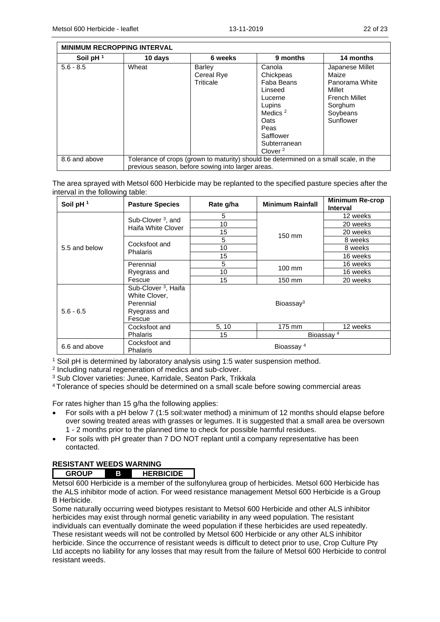|               | <b>MINIMUM RECROPPING INTERVAL</b> |                                                   |                                                                                                                                                              |                                                                                                                  |
|---------------|------------------------------------|---------------------------------------------------|--------------------------------------------------------------------------------------------------------------------------------------------------------------|------------------------------------------------------------------------------------------------------------------|
| Soil pH $1$   | 10 days                            | 6 weeks                                           | 9 months                                                                                                                                                     | 14 months                                                                                                        |
| $5.6 - 8.5$   | Wheat                              | Barley<br>Cereal Rye<br>Triticale                 | Canola<br>Chickpeas<br>Faba Beans<br>Linseed<br>Lucerne<br>Lupins<br>Medics <sup>2</sup><br>Oats<br>Peas<br>Safflower<br>Subterranean<br>Clover <sup>2</sup> | Japanese Millet<br>Maize<br>Panorama White<br>Millet<br><b>French Millet</b><br>Sorghum<br>Soybeans<br>Sunflower |
| 8.6 and above |                                    | previous season, before sowing into larger areas. | Tolerance of crops (grown to maturity) should be determined on a small scale, in the                                                                         |                                                                                                                  |

The area sprayed with Metsol 600 Herbicide may be replanted to the specified pasture species after the interval in the following table:

| Soil pH <sup>1</sup> | <b>Pasture Species</b>                                                                  | Rate g/ha | <b>Minimum Rainfall</b> | <b>Minimum Re-crop</b><br><b>Interval</b> |
|----------------------|-----------------------------------------------------------------------------------------|-----------|-------------------------|-------------------------------------------|
|                      | Sub-Clover <sup>3</sup> , and<br>Haifa White Clover                                     | 5         |                         | 12 weeks                                  |
|                      |                                                                                         | 10        |                         | 20 weeks                                  |
|                      |                                                                                         | 15        | 150 mm                  | 20 weeks                                  |
|                      | Cocksfoot and                                                                           | 5         |                         | 8 weeks                                   |
| 5.5 and below        | <b>Phalaris</b>                                                                         | 10        |                         | 8 weeks                                   |
|                      |                                                                                         | 15        |                         | 16 weeks                                  |
|                      | Perennial                                                                               | 5         | 100 mm                  | 16 weeks                                  |
|                      | Ryegrass and                                                                            | 10        |                         | 16 weeks                                  |
|                      | Fescue                                                                                  | 15        | 150 mm                  | 20 weeks                                  |
| $5.6 - 6.5$          | Sub-Clover <sup>3</sup> , Haifa<br>White Clover,<br>Perennial<br>Ryegrass and<br>Fescue |           | Bioassay <sup>3</sup>   |                                           |
|                      | Cocksfoot and                                                                           | 5, 10     | 175 mm                  | 12 weeks                                  |
|                      | <b>Phalaris</b>                                                                         | 15        |                         | Bioassay <sup>4</sup>                     |
| 6.6 and above        | Cocksfoot and<br>Phalaris                                                               |           | Bioassay <sup>4</sup>   |                                           |

<sup>1</sup> Soil pH is determined by laboratory analysis using 1:5 water suspension method.

2 Including natural regeneration of medics and sub-clover.

<sup>3</sup> Sub Clover varieties: Junee, Karridale, Seaton Park, Trikkala

<sup>4</sup> Tolerance of species should be determined on a small scale before sowing commercial areas

For rates higher than 15 g/ha the following applies:

- For soils with a pH below 7 (1:5 soil:water method) a minimum of 12 months should elapse before over sowing treated areas with grasses or legumes. It is suggested that a small area be oversown 1 - 2 months prior to the planned time to check for possible harmful residues.
- For soils with pH greater than 7 DO NOT replant until a company representative has been contacted.

### **RESISTANT WEEDS WARNING**

| rι | <b>RBICIDE</b><br>HE |
|----|----------------------|
|----|----------------------|

Metsol 600 Herbicide is a member of the sulfonylurea group of herbicides. Metsol 600 Herbicide has the ALS inhibitor mode of action. For weed resistance management Metsol 600 Herbicide is a Group B Herbicide.

Some naturally occurring weed biotypes resistant to Metsol 600 Herbicide and other ALS inhibitor herbicides may exist through normal genetic variability in any weed population. The resistant individuals can eventually dominate the weed population if these herbicides are used repeatedly. These resistant weeds will not be controlled by Metsol 600 Herbicide or any other ALS inhibitor herbicide. Since the occurrence of resistant weeds is difficult to detect prior to use, Crop Culture Pty Ltd accepts no liability for any losses that may result from the failure of Metsol 600 Herbicide to control resistant weeds.